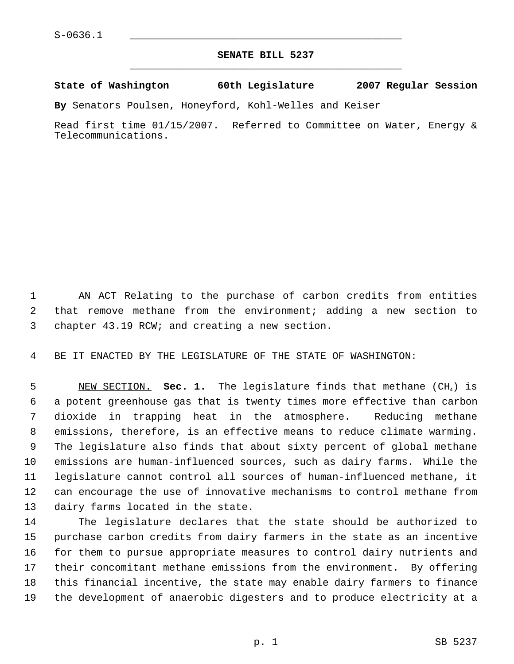## **SENATE BILL 5237** \_\_\_\_\_\_\_\_\_\_\_\_\_\_\_\_\_\_\_\_\_\_\_\_\_\_\_\_\_\_\_\_\_\_\_\_\_\_\_\_\_\_\_\_\_

**State of Washington 60th Legislature 2007 Regular Session**

**By** Senators Poulsen, Honeyford, Kohl-Welles and Keiser

Read first time 01/15/2007. Referred to Committee on Water, Energy & Telecommunications.

 AN ACT Relating to the purchase of carbon credits from entities that remove methane from the environment; adding a new section to chapter 43.19 RCW; and creating a new section.

BE IT ENACTED BY THE LEGISLATURE OF THE STATE OF WASHINGTON:

 NEW SECTION. **Sec. 1.** The legislature finds that methane (CH4) is a potent greenhouse gas that is twenty times more effective than carbon dioxide in trapping heat in the atmosphere. Reducing methane emissions, therefore, is an effective means to reduce climate warming. The legislature also finds that about sixty percent of global methane emissions are human-influenced sources, such as dairy farms. While the legislature cannot control all sources of human-influenced methane, it can encourage the use of innovative mechanisms to control methane from dairy farms located in the state.

 The legislature declares that the state should be authorized to purchase carbon credits from dairy farmers in the state as an incentive for them to pursue appropriate measures to control dairy nutrients and their concomitant methane emissions from the environment. By offering this financial incentive, the state may enable dairy farmers to finance the development of anaerobic digesters and to produce electricity at a